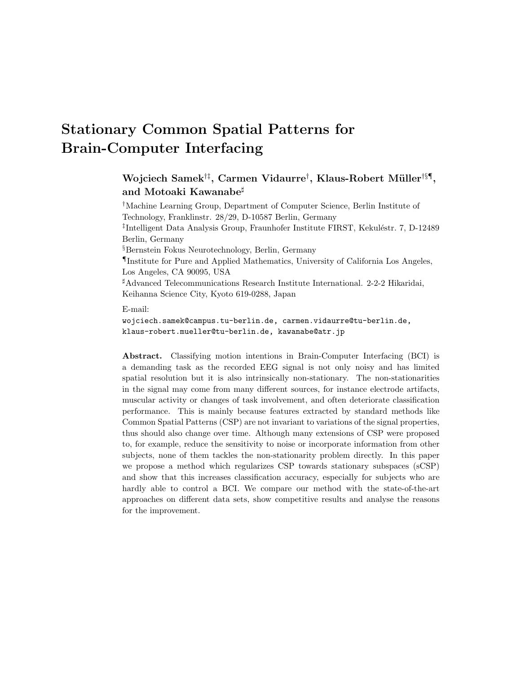# Stationary Common Spatial Patterns for Brain-Computer Interfacing

## $\rm{Wojciech\ Samek^{\dagger\ddagger},\ Carmen\ Vidaurre^{\dagger},\ Klaus-Robert\ Müller^{\dagger\S\P},}$ and Motoaki Kawanabe<sup>#</sup>

†Machine Learning Group, Department of Computer Science, Berlin Institute of Technology, Franklinstr. 28/29, D-10587 Berlin, Germany <sup>‡</sup>Intelligent Data Analysis Group, Fraunhofer Institute FIRST, Kekuléstr. 7, D-12489 Berlin, Germany §Bernstein Fokus Neurotechnology, Berlin, Germany ¶Institute for Pure and Applied Mathematics, University of California Los Angeles, Los Angeles, CA 90095, USA  $^{\sharp}$ Advanced Telecommunications Research Institute International. 2-2-2 Hikaridai, Keihanna Science City, Kyoto 619-0288, Japan

E-mail:

wojciech.samek@campus.tu-berlin.de, carmen.vidaurre@tu-berlin.de, klaus-robert.mueller@tu-berlin.de, kawanabe@atr.jp

Abstract. Classifying motion intentions in Brain-Computer Interfacing (BCI) is a demanding task as the recorded EEG signal is not only noisy and has limited spatial resolution but it is also intrinsically non-stationary. The non-stationarities in the signal may come from many different sources, for instance electrode artifacts, muscular activity or changes of task involvement, and often deteriorate classification performance. This is mainly because features extracted by standard methods like Common Spatial Patterns (CSP) are not invariant to variations of the signal properties, thus should also change over time. Although many extensions of CSP were proposed to, for example, reduce the sensitivity to noise or incorporate information from other subjects, none of them tackles the non-stationarity problem directly. In this paper we propose a method which regularizes CSP towards stationary subspaces (sCSP) and show that this increases classification accuracy, especially for subjects who are hardly able to control a BCI. We compare our method with the state-of-the-art approaches on different data sets, show competitive results and analyse the reasons for the improvement.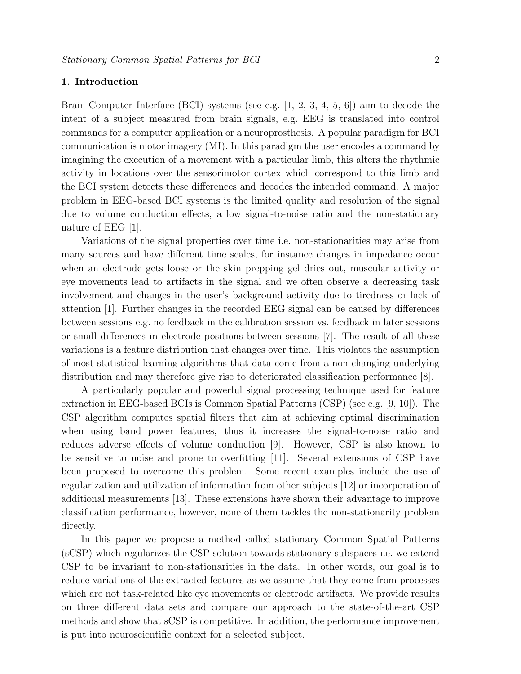#### 1. Introduction

Brain-Computer Interface (BCI) systems (see e.g.  $\left[1, 2, 3, 4, 5, 6\right]$ ) aim to decode the intent of a subject measured from brain signals, e.g. EEG is translated into control commands for a computer application or a neuroprosthesis. A popular paradigm for BCI communication is motor imagery (MI). In this paradigm the user encodes a command by imagining the execution of a movement with a particular limb, this alters the rhythmic activity in locations over the sensorimotor cortex which correspond to this limb and the BCI system detects these differences and decodes the intended command. A major problem in EEG-based BCI systems is the limited quality and resolution of the signal due to volume conduction effects, a low signal-to-noise ratio and the non-stationary nature of EEG [1].

Variations of the signal properties over time i.e. non-stationarities may arise from many sources and have different time scales, for instance changes in impedance occur when an electrode gets loose or the skin prepping gel dries out, muscular activity or eye movements lead to artifacts in the signal and we often observe a decreasing task involvement and changes in the user's background activity due to tiredness or lack of attention [1]. Further changes in the recorded EEG signal can be caused by differences between sessions e.g. no feedback in the calibration session vs. feedback in later sessions or small differences in electrode positions between sessions [7]. The result of all these variations is a feature distribution that changes over time. This violates the assumption of most statistical learning algorithms that data come from a non-changing underlying distribution and may therefore give rise to deteriorated classification performance [8].

A particularly popular and powerful signal processing technique used for feature extraction in EEG-based BCIs is Common Spatial Patterns (CSP) (see e.g. [9, 10]). The CSP algorithm computes spatial filters that aim at achieving optimal discrimination when using band power features, thus it increases the signal-to-noise ratio and reduces adverse effects of volume conduction [9]. However, CSP is also known to be sensitive to noise and prone to overfitting [11]. Several extensions of CSP have been proposed to overcome this problem. Some recent examples include the use of regularization and utilization of information from other subjects [12] or incorporation of additional measurements [13]. These extensions have shown their advantage to improve classification performance, however, none of them tackles the non-stationarity problem directly.

In this paper we propose a method called stationary Common Spatial Patterns (sCSP) which regularizes the CSP solution towards stationary subspaces i.e. we extend CSP to be invariant to non-stationarities in the data. In other words, our goal is to reduce variations of the extracted features as we assume that they come from processes which are not task-related like eye movements or electrode artifacts. We provide results on three different data sets and compare our approach to the state-of-the-art CSP methods and show that sCSP is competitive. In addition, the performance improvement is put into neuroscientific context for a selected subject.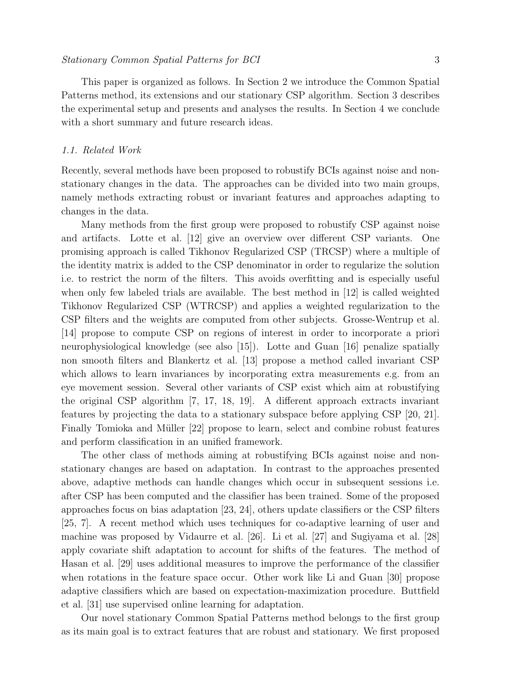This paper is organized as follows. In Section 2 we introduce the Common Spatial Patterns method, its extensions and our stationary CSP algorithm. Section 3 describes the experimental setup and presents and analyses the results. In Section 4 we conclude with a short summary and future research ideas.

#### 1.1. Related Work

Recently, several methods have been proposed to robustify BCIs against noise and nonstationary changes in the data. The approaches can be divided into two main groups, namely methods extracting robust or invariant features and approaches adapting to changes in the data.

Many methods from the first group were proposed to robustify CSP against noise and artifacts. Lotte et al. [12] give an overview over different CSP variants. One promising approach is called Tikhonov Regularized CSP (TRCSP) where a multiple of the identity matrix is added to the CSP denominator in order to regularize the solution i.e. to restrict the norm of the filters. This avoids overfitting and is especially useful when only few labeled trials are available. The best method in [12] is called weighted Tikhonov Regularized CSP (WTRCSP) and applies a weighted regularization to the CSP filters and the weights are computed from other subjects. Grosse-Wentrup et al. [14] propose to compute CSP on regions of interest in order to incorporate a priori neurophysiological knowledge (see also [15]). Lotte and Guan [16] penalize spatially non smooth filters and Blankertz et al. [13] propose a method called invariant CSP which allows to learn invariances by incorporating extra measurements e.g. from an eye movement session. Several other variants of CSP exist which aim at robustifying the original CSP algorithm [7, 17, 18, 19]. A different approach extracts invariant features by projecting the data to a stationary subspace before applying CSP [20, 21]. Finally Tomioka and Müller [22] propose to learn, select and combine robust features and perform classification in an unified framework.

The other class of methods aiming at robustifying BCIs against noise and nonstationary changes are based on adaptation. In contrast to the approaches presented above, adaptive methods can handle changes which occur in subsequent sessions i.e. after CSP has been computed and the classifier has been trained. Some of the proposed approaches focus on bias adaptation [23, 24], others update classifiers or the CSP filters [25, 7]. A recent method which uses techniques for co-adaptive learning of user and machine was proposed by Vidaurre et al. [26]. Li et al. [27] and Sugiyama et al. [28] apply covariate shift adaptation to account for shifts of the features. The method of Hasan et al. [29] uses additional measures to improve the performance of the classifier when rotations in the feature space occur. Other work like Li and Guan [30] propose adaptive classifiers which are based on expectation-maximization procedure. Buttfield et al. [31] use supervised online learning for adaptation.

Our novel stationary Common Spatial Patterns method belongs to the first group as its main goal is to extract features that are robust and stationary. We first proposed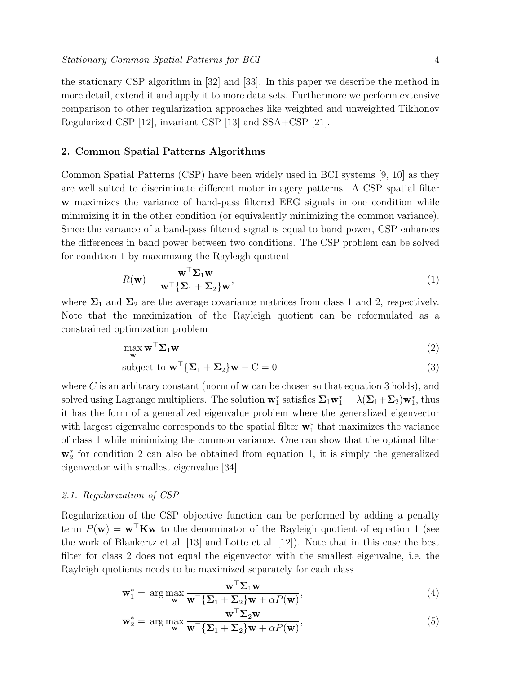the stationary CSP algorithm in [32] and [33]. In this paper we describe the method in more detail, extend it and apply it to more data sets. Furthermore we perform extensive comparison to other regularization approaches like weighted and unweighted Tikhonov Regularized CSP [12], invariant CSP [13] and SSA+CSP [21].

#### 2. Common Spatial Patterns Algorithms

Common Spatial Patterns (CSP) have been widely used in BCI systems [9, 10] as they are well suited to discriminate different motor imagery patterns. A CSP spatial filter w maximizes the variance of band-pass filtered EEG signals in one condition while minimizing it in the other condition (or equivalently minimizing the common variance). Since the variance of a band-pass filtered signal is equal to band power, CSP enhances the differences in band power between two conditions. The CSP problem can be solved for condition 1 by maximizing the Rayleigh quotient

$$
R(\mathbf{w}) = \frac{\mathbf{w}^{\top} \Sigma_1 \mathbf{w}}{\mathbf{w}^{\top} {\Sigma_1 + \Sigma_2} \mathbf{w}},
$$
\n(1)

where  $\Sigma_1$  and  $\Sigma_2$  are the average covariance matrices from class 1 and 2, respectively. Note that the maximization of the Rayleigh quotient can be reformulated as a constrained optimization problem

$$
\max_{\mathbf{w}} \mathbf{w}^{\top} \mathbf{\Sigma}_{1} \mathbf{w}
$$
 (2)

subject to 
$$
\mathbf{w}^{\top} {\{\Sigma_1 + \Sigma_2\} \mathbf{w} - \mathbf{C} = 0}
$$
 (3)

where C is an arbitrary constant (norm of  $w$  can be chosen so that equation 3 holds), and solved using Lagrange multipliers. The solution  $w_1^*$  satisfies  $\Sigma_1 w_1^* = \lambda(\Sigma_1 + \Sigma_2) w_1^*$ , thus it has the form of a generalized eigenvalue problem where the generalized eigenvector with largest eigenvalue corresponds to the spatial filter  $\mathbf{w}_1^*$  that maximizes the variance of class 1 while minimizing the common variance. One can show that the optimal filter w<sup>∗</sup> 2 for condition 2 can also be obtained from equation 1, it is simply the generalized eigenvector with smallest eigenvalue [34].

#### 2.1. Regularization of CSP

Regularization of the CSP objective function can be performed by adding a penalty term  $P(\mathbf{w}) = \mathbf{w}^\top \mathbf{K} \mathbf{w}$  to the denominator of the Rayleigh quotient of equation 1 (see the work of Blankertz et al. [13] and Lotte et al. [12]). Note that in this case the best filter for class 2 does not equal the eigenvector with the smallest eigenvalue, i.e. the Rayleigh quotients needs to be maximized separately for each class

$$
\mathbf{w}_1^* = \arg \max_{\mathbf{w}} \frac{\mathbf{w}^\top \Sigma_1 \mathbf{w}}{\mathbf{w}^\top \{\Sigma_1 + \Sigma_2\} \mathbf{w} + \alpha P(\mathbf{w})},\tag{4}
$$

$$
\mathbf{w}_2^* = \arg \max_{\mathbf{w}} \frac{\mathbf{w} \ \Sigma_2 \mathbf{w}}{\mathbf{w}^\top \{\Sigma_1 + \Sigma_2\} \mathbf{w} + \alpha P(\mathbf{w})},\tag{5}
$$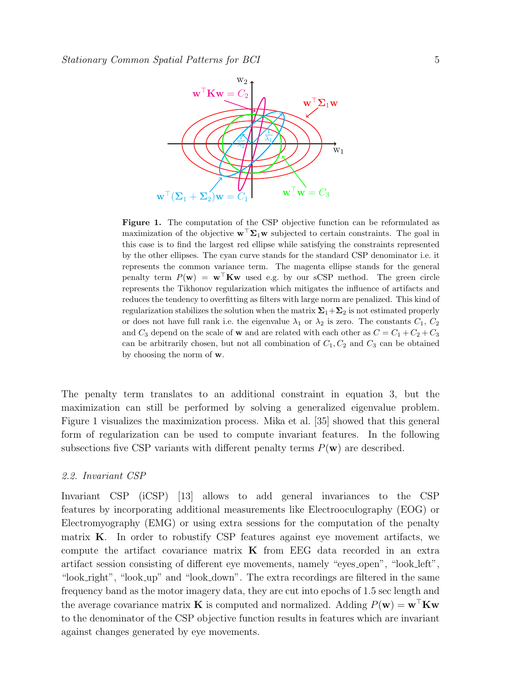

Figure 1. The computation of the CSP objective function can be reformulated as maximization of the objective  $\mathbf{w}^{\top} \mathbf{\Sigma}_1 \mathbf{w}$  subjected to certain constraints. The goal in this case is to find the largest red ellipse while satisfying the constraints represented by the other ellipses. The cyan curve stands for the standard CSP denominator i.e. it represents the common variance term. The magenta ellipse stands for the general penalty term  $P(\mathbf{w}) = \mathbf{w}^\top \mathbf{K} \mathbf{w}$  used e.g. by our sCSP method. The green circle represents the Tikhonov regularization which mitigates the influence of artifacts and reduces the tendency to overfitting as filters with large norm are penalized. This kind of regularization stabilizes the solution when the matrix  $\Sigma_1+\Sigma_2$  is not estimated properly or does not have full rank i.e. the eigenvalue  $\lambda_1$  or  $\lambda_2$  is zero. The constants  $C_1, C_2$ and  $C_3$  depend on the scale of **w** and are related with each other as  $C = C_1 + C_2 + C_3$ can be arbitrarily chosen, but not all combination of  $C_1, C_2$  and  $C_3$  can be obtained by choosing the norm of w.

The penalty term translates to an additional constraint in equation 3, but the maximization can still be performed by solving a generalized eigenvalue problem. Figure 1 visualizes the maximization process. Mika et al. [35] showed that this general form of regularization can be used to compute invariant features. In the following subsections five CSP variants with different penalty terms  $P(\mathbf{w})$  are described.

#### 2.2. Invariant CSP

Invariant CSP (iCSP) [13] allows to add general invariances to the CSP features by incorporating additional measurements like Electrooculography (EOG) or Electromyography (EMG) or using extra sessions for the computation of the penalty matrix  $\bf{K}$ . In order to robustify CSP features against eye movement artifacts, we compute the artifact covariance matrix  $\bf{K}$  from EEG data recorded in an extra artifact session consisting of different eye movements, namely "eyes open", "look left", "look right", "look up" and "look down". The extra recordings are filtered in the same frequency band as the motor imagery data, they are cut into epochs of 1.5 sec length and the average covariance matrix **K** is computed and normalized. Adding  $P(\mathbf{w}) = \mathbf{w}^\top \mathbf{K} \mathbf{w}$ to the denominator of the CSP objective function results in features which are invariant against changes generated by eye movements.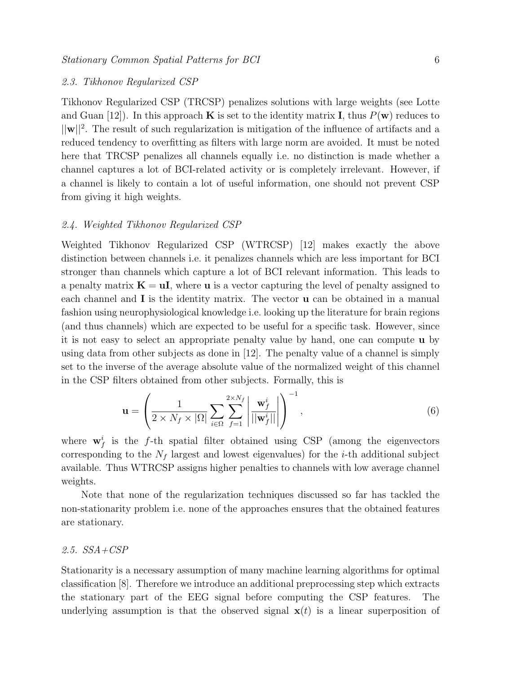#### 2.3. Tikhonov Regularized CSP

Tikhonov Regularized CSP (TRCSP) penalizes solutions with large weights (see Lotte and Guan  $[12]$ . In this approach **K** is set to the identity matrix **I**, thus  $P(\mathbf{w})$  reduces to  $||\mathbf{w}||^2$ . The result of such regularization is mitigation of the influence of artifacts and a reduced tendency to overfitting as filters with large norm are avoided. It must be noted here that TRCSP penalizes all channels equally i.e. no distinction is made whether a channel captures a lot of BCI-related activity or is completely irrelevant. However, if a channel is likely to contain a lot of useful information, one should not prevent CSP from giving it high weights.

#### 2.4. Weighted Tikhonov Regularized CSP

Weighted Tikhonov Regularized CSP (WTRCSP) [12] makes exactly the above distinction between channels i.e. it penalizes channels which are less important for BCI stronger than channels which capture a lot of BCI relevant information. This leads to a penalty matrix  $\mathbf{K} = \mathbf{u}\mathbf{I}$ , where **u** is a vector capturing the level of penalty assigned to each channel and **I** is the identity matrix. The vector **u** can be obtained in a manual fashion using neurophysiological knowledge i.e. looking up the literature for brain regions (and thus channels) which are expected to be useful for a specific task. However, since it is not easy to select an appropriate penalty value by hand, one can compute u by using data from other subjects as done in [12]. The penalty value of a channel is simply set to the inverse of the average absolute value of the normalized weight of this channel in the CSP filters obtained from other subjects. Formally, this is

$$
\mathbf{u} = \left(\frac{1}{2 \times N_f \times |\Omega|} \sum_{i \in \Omega} \sum_{f=1}^{2 \times N_f} \left| \frac{\mathbf{w}_f^i}{||\mathbf{w}_f^i||} \right| \right)^{-1},\tag{6}
$$

where  $\mathbf{w}_f^i$  is the f-th spatial filter obtained using CSP (among the eigenvectors corresponding to the  $N_f$  largest and lowest eigenvalues) for the *i*-th additional subject available. Thus WTRCSP assigns higher penalties to channels with low average channel weights.

Note that none of the regularization techniques discussed so far has tackled the non-stationarity problem i.e. none of the approaches ensures that the obtained features are stationary.

#### 2.5. SSA+CSP

Stationarity is a necessary assumption of many machine learning algorithms for optimal classification [8]. Therefore we introduce an additional preprocessing step which extracts the stationary part of the EEG signal before computing the CSP features. The underlying assumption is that the observed signal  $\mathbf{x}(t)$  is a linear superposition of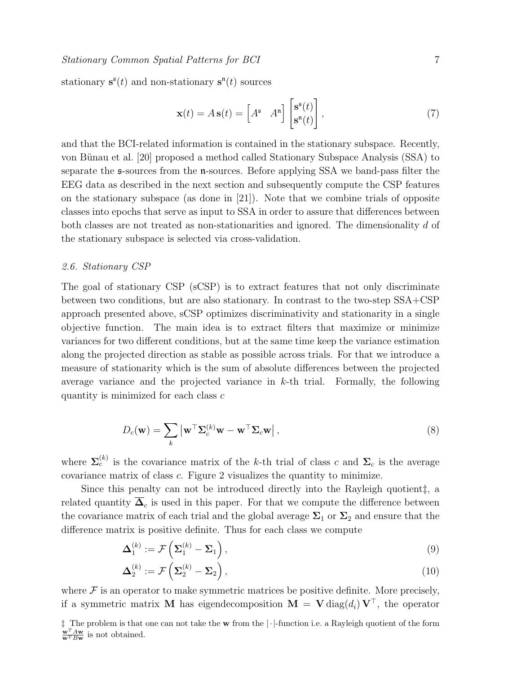#### Stationary Common Spatial Patterns for BCI 7

stationary  $s^{\mathfrak{s}}(t)$  and non-stationary  $s^{\mathfrak{n}}(t)$  sources

$$
\mathbf{x}(t) = A\,\mathbf{s}(t) = \begin{bmatrix} A^{\mathfrak{s}} & A^{\mathfrak{n}} \end{bmatrix} \begin{bmatrix} \mathbf{s}^{\mathfrak{s}}(t) \\ \mathbf{s}^{\mathfrak{n}}(t) \end{bmatrix},\tag{7}
$$

and that the BCI-related information is contained in the stationary subspace. Recently, von Bünau et al. [20] proposed a method called Stationary Subspace Analysis (SSA) to separate the s-sources from the n-sources. Before applying SSA we band-pass filter the EEG data as described in the next section and subsequently compute the CSP features on the stationary subspace (as done in [21]). Note that we combine trials of opposite classes into epochs that serve as input to SSA in order to assure that differences between both classes are not treated as non-stationarities and ignored. The dimensionality d of the stationary subspace is selected via cross-validation.

#### 2.6. Stationary CSP

The goal of stationary CSP (sCSP) is to extract features that not only discriminate between two conditions, but are also stationary. In contrast to the two-step SSA+CSP approach presented above, sCSP optimizes discriminativity and stationarity in a single objective function. The main idea is to extract filters that maximize or minimize variances for two different conditions, but at the same time keep the variance estimation along the projected direction as stable as possible across trials. For that we introduce a measure of stationarity which is the sum of absolute differences between the projected average variance and the projected variance in  $k$ -th trial. Formally, the following quantity is minimized for each class c

$$
D_c(\mathbf{w}) = \sum_{k} |\mathbf{w}^{\top} \Sigma_c^{(k)} \mathbf{w} - \mathbf{w}^{\top} \Sigma_c \mathbf{w}|,
$$
\n(8)

where  $\Sigma_c^{(k)}$  is the covariance matrix of the k-th trial of class c and  $\Sigma_c$  is the average covariance matrix of class c. Figure 2 visualizes the quantity to minimize.

Since this penalty can not be introduced directly into the Rayleigh quotient‡, a related quantity  $\Delta_c$  is used in this paper. For that we compute the difference between the covariance matrix of each trial and the global average  $\Sigma_1$  or  $\Sigma_2$  and ensure that the difference matrix is positive definite. Thus for each class we compute

$$
\Delta_1^{(k)} := \mathcal{F}\left(\Sigma_1^{(k)} - \Sigma_1\right),\tag{9}
$$

$$
\Delta_2^{(k)} := \mathcal{F}\left(\Sigma_2^{(k)} - \Sigma_2\right),\tag{10}
$$

where  $\mathcal F$  is an operator to make symmetric matrices be positive definite. More precisely, if a symmetric matrix **M** has eigendecomposition  $\mathbf{M} = \mathbf{V} \text{diag}(d_i) \mathbf{V}^\top$ , the operator

<sup>‡</sup> The problem is that one can not take the w from the |·|-function i.e. a Rayleigh quotient of the form  $\frac{\mathbf{w}^T A \mathbf{w}}{\mathbf{w}^T B \mathbf{w}}$  is not obtained.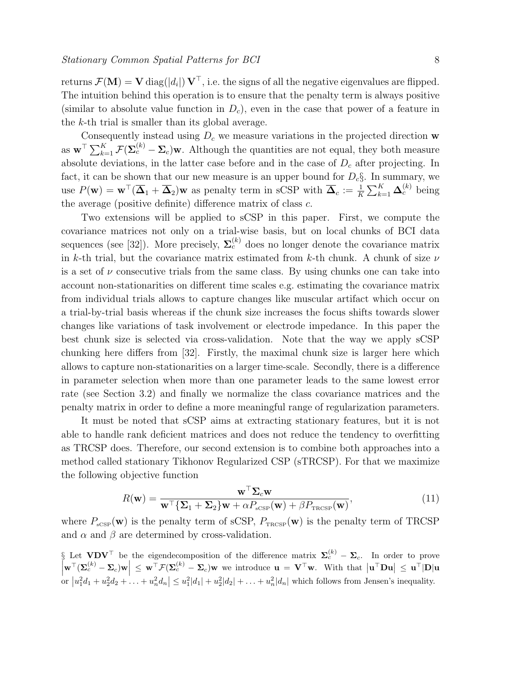returns  $\mathcal{F}(\mathbf{M}) = \mathbf{V} \operatorname{diag}(|d_i|) \, \mathbf{V}^\top$ , i.e. the signs of all the negative eigenvalues are flipped. The intuition behind this operation is to ensure that the penalty term is always positive (similar to absolute value function in  $D<sub>c</sub>$ ), even in the case that power of a feature in the k-th trial is smaller than its global average.

Consequently instead using  $D<sub>c</sub>$  we measure variations in the projected direction w as  $\mathbf{w}^{\top} \sum_{k=1}^{K} \mathcal{F}(\mathbf{\Sigma}_{c}^{(k)} - \mathbf{\Sigma}_{c})\mathbf{w}$ . Although the quantities are not equal, they both measure absolute deviations, in the latter case before and in the case of  $D<sub>c</sub>$  after projecting. In fact, it can be shown that our new measure is an upper bound for  $D_c \S$ . In summary, we use  $P(\mathbf{w}) = \mathbf{w}^\top (\overline{\mathbf{\Delta}}_1 + \overline{\mathbf{\Delta}}_2)\mathbf{w}$  as penalty term in sCSP with  $\overline{\mathbf{\Delta}}_c := \frac{1}{K} \sum_{k=1}^K \mathbf{\Delta}_c^{(k)}$  being the average (positive definite) difference matrix of class c.

Two extensions will be applied to sCSP in this paper. First, we compute the covariance matrices not only on a trial-wise basis, but on local chunks of BCI data sequences (see [32]). More precisely,  $\Sigma_c^{(k)}$  does no longer denote the covariance matrix in k-th trial, but the covariance matrix estimated from k-th chunk. A chunk of size  $\nu$ is a set of  $\nu$  consecutive trials from the same class. By using chunks one can take into account non-stationarities on different time scales e.g. estimating the covariance matrix from individual trials allows to capture changes like muscular artifact which occur on a trial-by-trial basis whereas if the chunk size increases the focus shifts towards slower changes like variations of task involvement or electrode impedance. In this paper the best chunk size is selected via cross-validation. Note that the way we apply sCSP chunking here differs from [32]. Firstly, the maximal chunk size is larger here which allows to capture non-stationarities on a larger time-scale. Secondly, there is a difference in parameter selection when more than one parameter leads to the same lowest error rate (see Section 3.2) and finally we normalize the class covariance matrices and the penalty matrix in order to define a more meaningful range of regularization parameters.

It must be noted that sCSP aims at extracting stationary features, but it is not able to handle rank deficient matrices and does not reduce the tendency to overfitting as TRCSP does. Therefore, our second extension is to combine both approaches into a method called stationary Tikhonov Regularized CSP (sTRCSP). For that we maximize the following objective function

$$
R(\mathbf{w}) = \frac{\mathbf{w}^{\top} \Sigma_{c} \mathbf{w}}{\mathbf{w}^{\top} \{\Sigma_{1} + \Sigma_{2}\} \mathbf{w} + \alpha P_{\text{scsp}}(\mathbf{w}) + \beta P_{\text{TRCSP}}(\mathbf{w})},
$$
(11)

where  $P_{\text{sCSP}}(\mathbf{w})$  is the penalty term of sCSP,  $P_{\text{TRCSP}}(\mathbf{w})$  is the penalty term of TRCSP and  $\alpha$  and  $\beta$  are determined by cross-validation.

§ Let  $VDV^{\top}$  be the eigendecomposition of the difference matrix  $\Sigma_c^{(k)} - \Sigma_c$ . In order to prove  $\left|\mathbf{w}^{\top}(\mathbf{\Sigma}_{c}^{(k)}-\mathbf{\Sigma}_{c})\mathbf{w}\right| \leq \mathbf{w}^{\top}\mathcal{F}(\mathbf{\Sigma}_{c}^{(k)}-\mathbf{\Sigma}_{c})\mathbf{w}$  we introduce  $\mathbf{u} = \mathbf{V}^{\top}\mathbf{w}$ . With that  $|\mathbf{u}^{\top}\mathbf{D}\mathbf{u}| \leq \mathbf{u}^{\top}|\mathbf{D}|\mathbf{u}$ or  $|u_1^2d_1 + u_2^2d_2 + ... + u_n^2d_n| \leq u_1^2|d_1| + u_2^2|d_2| + ... + u_n^2|d_n|$  which follows from Jensen's inequality.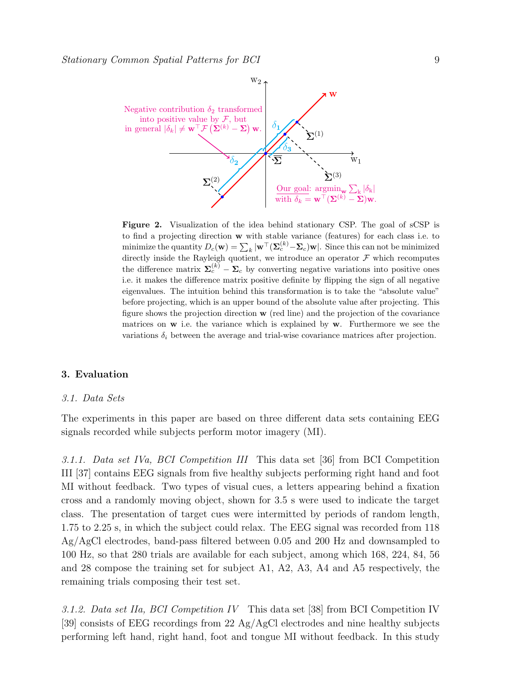

Figure 2. Visualization of the idea behind stationary CSP. The goal of sCSP is to find a projecting direction w with stable variance (features) for each class i.e. to minimize the quantity  $D_c(\mathbf{w}) = \sum_k |\mathbf{w}^\top (\mathbf{\Sigma}_c^{(k)} - \mathbf{\Sigma}_c)\mathbf{w}|$ . Since this can not be minimized directly inside the Rayleigh quotient, we introduce an operator  $\mathcal F$  which recomputes the difference matrix  $\Sigma_c^{(k)} - \Sigma_c$  by converting negative variations into positive ones i.e. it makes the difference matrix positive definite by flipping the sign of all negative eigenvalues. The intuition behind this transformation is to take the "absolute value" before projecting, which is an upper bound of the absolute value after projecting. This figure shows the projection direction w (red line) and the projection of the covariance matrices on  $w$  i.e. the variance which is explained by  $w$ . Furthermore we see the variations  $\delta_i$  between the average and trial-wise covariance matrices after projection.

#### 3. Evaluation

#### 3.1. Data Sets

The experiments in this paper are based on three different data sets containing EEG signals recorded while subjects perform motor imagery (MI).

3.1.1. Data set IVa, BCI Competition III This data set [36] from BCI Competition III [37] contains EEG signals from five healthy subjects performing right hand and foot MI without feedback. Two types of visual cues, a letters appearing behind a fixation cross and a randomly moving object, shown for 3.5 s were used to indicate the target class. The presentation of target cues were intermitted by periods of random length, 1.75 to 2.25 s, in which the subject could relax. The EEG signal was recorded from 118 Ag/AgCl electrodes, band-pass filtered between 0.05 and 200 Hz and downsampled to 100 Hz, so that 280 trials are available for each subject, among which 168, 224, 84, 56 and 28 compose the training set for subject A1, A2, A3, A4 and A5 respectively, the remaining trials composing their test set.

3.1.2. Data set IIa, BCI Competition IV This data set [38] from BCI Competition IV [39] consists of EEG recordings from 22 Ag/AgCl electrodes and nine healthy subjects performing left hand, right hand, foot and tongue MI without feedback. In this study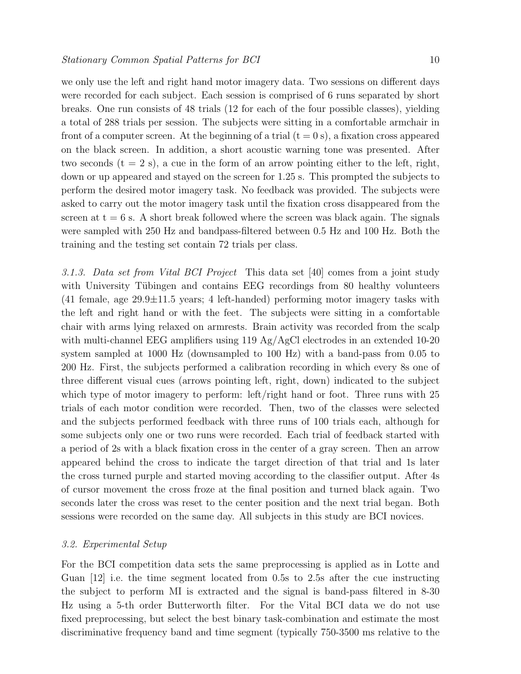we only use the left and right hand motor imagery data. Two sessions on different days were recorded for each subject. Each session is comprised of 6 runs separated by short breaks. One run consists of 48 trials (12 for each of the four possible classes), yielding a total of 288 trials per session. The subjects were sitting in a comfortable armchair in front of a computer screen. At the beginning of a trial  $(t = 0 s)$ , a fixation cross appeared on the black screen. In addition, a short acoustic warning tone was presented. After two seconds  $(t = 2 s)$ , a cue in the form of an arrow pointing either to the left, right, down or up appeared and stayed on the screen for 1.25 s. This prompted the subjects to perform the desired motor imagery task. No feedback was provided. The subjects were asked to carry out the motor imagery task until the fixation cross disappeared from the screen at  $t = 6$  s. A short break followed where the screen was black again. The signals were sampled with 250 Hz and bandpass-filtered between 0.5 Hz and 100 Hz. Both the training and the testing set contain 72 trials per class.

3.1.3. Data set from Vital BCI Project This data set [40] comes from a joint study with University Tübingen and contains EEG recordings from 80 healthy volunteers  $(41 \text{ female}, \text{age } 29.9 \pm 11.5 \text{ years}; 4 \text{ left-handed})$  performing motor imagery tasks with the left and right hand or with the feet. The subjects were sitting in a comfortable chair with arms lying relaxed on armrests. Brain activity was recorded from the scalp with multi-channel EEG amplifiers using 119 Ag/AgCl electrodes in an extended 10-20 system sampled at 1000 Hz (downsampled to 100 Hz) with a band-pass from 0.05 to 200 Hz. First, the subjects performed a calibration recording in which every 8s one of three different visual cues (arrows pointing left, right, down) indicated to the subject which type of motor imagery to perform: left/right hand or foot. Three runs with 25 trials of each motor condition were recorded. Then, two of the classes were selected and the subjects performed feedback with three runs of 100 trials each, although for some subjects only one or two runs were recorded. Each trial of feedback started with a period of 2s with a black fixation cross in the center of a gray screen. Then an arrow appeared behind the cross to indicate the target direction of that trial and 1s later the cross turned purple and started moving according to the classifier output. After 4s of cursor movement the cross froze at the final position and turned black again. Two seconds later the cross was reset to the center position and the next trial began. Both sessions were recorded on the same day. All subjects in this study are BCI novices.

#### 3.2. Experimental Setup

For the BCI competition data sets the same preprocessing is applied as in Lotte and Guan [12] i.e. the time segment located from 0.5s to 2.5s after the cue instructing the subject to perform MI is extracted and the signal is band-pass filtered in 8-30 Hz using a 5-th order Butterworth filter. For the Vital BCI data we do not use fixed preprocessing, but select the best binary task-combination and estimate the most discriminative frequency band and time segment (typically 750-3500 ms relative to the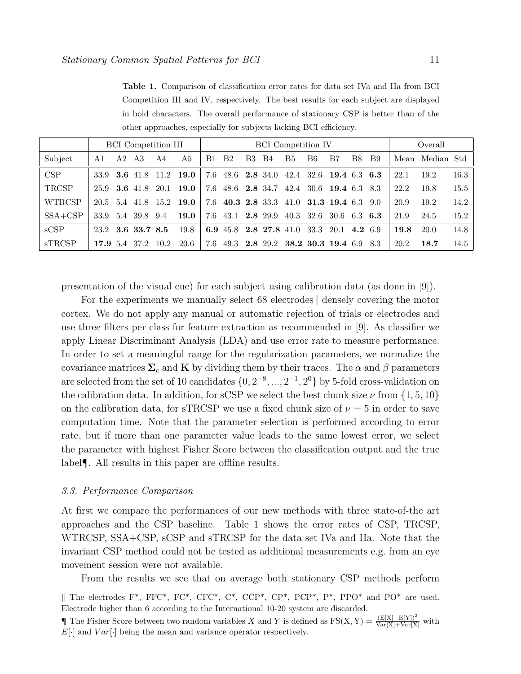Table 1. Comparison of classification error rates for data set IVa and IIa from BCI Competition III and IV, respectively. The best results for each subject are displayed in bold characters. The overall performance of stationary CSP is better than of the other approaches, especially for subjects lacking BCI efficiency.

|               |      |    | <b>BCI</b> Competition III |      |                         | <b>BCI</b> Competition IV |                        |    |            |    | Overall |                                          |    |            |      |            |      |
|---------------|------|----|----------------------------|------|-------------------------|---------------------------|------------------------|----|------------|----|---------|------------------------------------------|----|------------|------|------------|------|
| Subject       | A1   | A2 | A3                         | A4   | A5                      | B1                        | B <sub>2</sub>         | B3 | <b>B</b> 4 | B5 | B6.     | B7                                       | B8 | <b>B</b> 9 | Mean | Median Std |      |
| <b>CSP</b>    |      |    | 33.9 3.6 41.8              | 11.2 | 19.0                    | 7.6                       |                        |    |            |    |         | 48.6 2.8 34.0 42.4 32.6 19.4 6.3 6.3     |    |            | 22.1 | 19.2       | 16.3 |
| TRCSP         | 25.9 |    | <b>3.6</b> 41.8 20.1       |      | 19.0                    |                           |                        |    |            |    |         | 7.6 48.6 2.8 34.7 42.4 30.6 19.4 6.3 8.3 |    |            | 22.2 | 19.8       | 15.5 |
| <b>WTRCSP</b> |      |    |                            |      | 20.5 5.4 41.8 15.2 19.0 |                           |                        |    |            |    |         | 7.6 40.3 2.8 33.3 41.0 31.3 19.4 6.3     |    | 9.0        | 20.9 | 19.2       | 14.2 |
| $SSA + CSP$   | 33.9 |    | 5.4 39.8                   | 9.4  | 19.0                    | 7.6                       | 43.1 2.8 29.9          |    |            |    |         | 40.3 32.6 30.6                           |    | 6.3 6.3    | 21.9 | 24.5       | 15.2 |
| sCSP          |      |    | 23.2 3.6 33.7 8.5          |      | 19.8                    |                           | 6.9 45.8 2.8 27.8 41.0 |    |            |    | -33.3   | 20.1                                     |    | 4.2 6.9    | 19.8 | 20.0       | 14.8 |
| <b>sTRCSP</b> |      |    | 17.9 5.4 37.2              | 10.2 | 20.6                    | 7.6                       |                        |    |            |    |         | 49.3 2.8 29.2 38.2 30.3 19.4 6.9 8.3     |    |            | 20.2 | 18.7       | 14.5 |

presentation of the visual cue) for each subject using calibration data (as done in [9]).

For the experiments we manually select 68 electrodes densely covering the motor cortex. We do not apply any manual or automatic rejection of trials or electrodes and use three filters per class for feature extraction as recommended in [9]. As classifier we apply Linear Discriminant Analysis (LDA) and use error rate to measure performance. In order to set a meaningful range for the regularization parameters, we normalize the covariance matrices  $\Sigma_c$  and K by dividing them by their traces. The  $\alpha$  and  $\beta$  parameters are selected from the set of 10 candidates  $\{0, 2^{-8}, ..., 2^{-1}, 2^{0}\}$  by 5-fold cross-validation on the calibration data. In addition, for sCSP we select the best chunk size  $\nu$  from  $\{1, 5, 10\}$ on the calibration data, for sTRCSP we use a fixed chunk size of  $\nu = 5$  in order to save computation time. Note that the parameter selection is performed according to error rate, but if more than one parameter value leads to the same lowest error, we select the parameter with highest Fisher Score between the classification output and the true label¶. All results in this paper are offline results.

#### 3.3. Performance Comparison

At first we compare the performances of our new methods with three state-of-the art approaches and the CSP baseline. Table 1 shows the error rates of CSP, TRCSP, WTRCSP, SSA+CSP, sCSP and sTRCSP for the data set IVa and IIa. Note that the invariant CSP method could not be tested as additional measurements e.g. from an eye movement session were not available.

From the results we see that on average both stationary CSP methods perform

<sup>||</sup> The electrodes F<sup>\*</sup>, FFC<sup>\*</sup>, FC<sup>\*</sup>, CFC<sup>\*</sup>, C<sup>\*</sup>, CCP<sup>\*</sup>, CP<sup>\*</sup>, PCP<sup>\*</sup>, P<sup>\*</sup>, PPO<sup>\*</sup> and PO<sup>\*</sup> are used. Electrode higher than 6 according to the International 10-20 system are discarded.

**The Fisher Score between two random variables X and Y is defined as**  $FS(X, Y) = \frac{(E[X] - E[Y])^2}{Var[X] + Var[X]}$  **with**  $E[\cdot]$  and  $Var[\cdot]$  being the mean and variance operator respectively.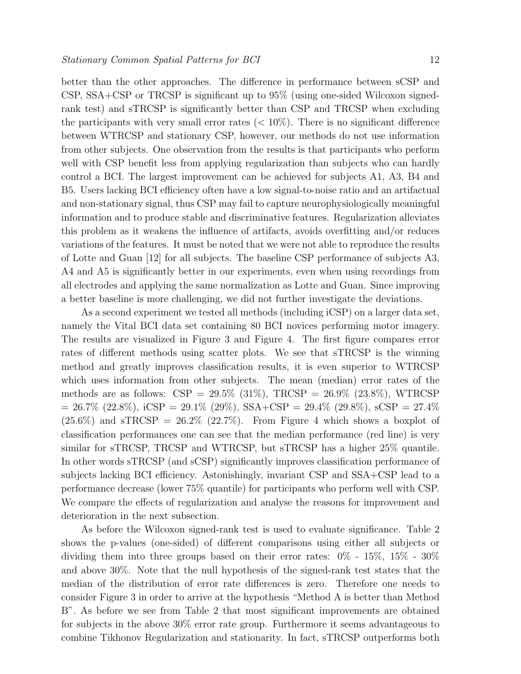better than the other approaches. The difference in performance between sCSP and CSP, SSA+CSP or TRCSP is significant up to 95% (using one-sided Wilcoxon signedrank test) and sTRCSP is significantly better than CSP and TRCSP when excluding the participants with very small error rates  $(< 10\%)$ . There is no significant difference between WTRCSP and stationary CSP, however, our methods do not use information from other subjects. One observation from the results is that participants who perform well with CSP benefit less from applying regularization than subjects who can hardly control a BCI. The largest improvement can be achieved for subjects A1, A3, B4 and B5. Users lacking BCI efficiency often have a low signal-to-noise ratio and an artifactual and non-stationary signal, thus CSP may fail to capture neurophysiologically meaningful information and to produce stable and discriminative features. Regularization alleviates this problem as it weakens the influence of artifacts, avoids overfitting and/or reduces variations of the features. It must be noted that we were not able to reproduce the results of Lotte and Guan [12] for all subjects. The baseline CSP performance of subjects A3, A4 and A5 is significantly better in our experiments, even when using recordings from all electrodes and applying the same normalization as Lotte and Guan. Since improving a better baseline is more challenging, we did not further investigate the deviations.

As a second experiment we tested all methods (including iCSP) on a larger data set, namely the Vital BCI data set containing 80 BCI novices performing motor imagery. The results are visualized in Figure 3 and Figure 4. The first figure compares error rates of different methods using scatter plots. We see that sTRCSP is the winning method and greatly improves classification results, it is even superior to WTRCSP which uses information from other subjects. The mean (median) error rates of the methods are as follows:  $CSP = 29.5\%$  (31%), TRCSP = 26.9% (23.8%), WTRCSP  $= 26.7\%$  (22.8%), iCSP = 29.1% (29%), SSA+CSP = 29.4% (29.8%), sCSP = 27.4%  $(25.6\%)$  and sTRCSP =  $26.2\%$   $(22.7\%)$ . From Figure 4 which shows a boxplot of classification performances one can see that the median performance (red line) is very similar for sTRCSP, TRCSP and WTRCSP, but sTRCSP has a higher 25% quantile. In other words sTRCSP (and sCSP) significantly improves classification performance of subjects lacking BCI efficiency. Astonishingly, invariant CSP and SSA+CSP lead to a performance decrease (lower 75% quantile) for participants who perform well with CSP. We compare the effects of regularization and analyse the reasons for improvement and deterioration in the next subsection.

As before the Wilcoxon signed-rank test is used to evaluate significance. Table 2 shows the p-values (one-sided) of different comparisons using either all subjects or dividing them into three groups based on their error rates: 0% - 15%, 15% - 30% and above 30%. Note that the null hypothesis of the signed-rank test states that the median of the distribution of error rate differences is zero. Therefore one needs to consider Figure 3 in order to arrive at the hypothesis "Method A is better than Method B". As before we see from Table 2 that most significant improvements are obtained for subjects in the above 30% error rate group. Furthermore it seems advantageous to combine Tikhonov Regularization and stationarity. In fact, sTRCSP outperforms both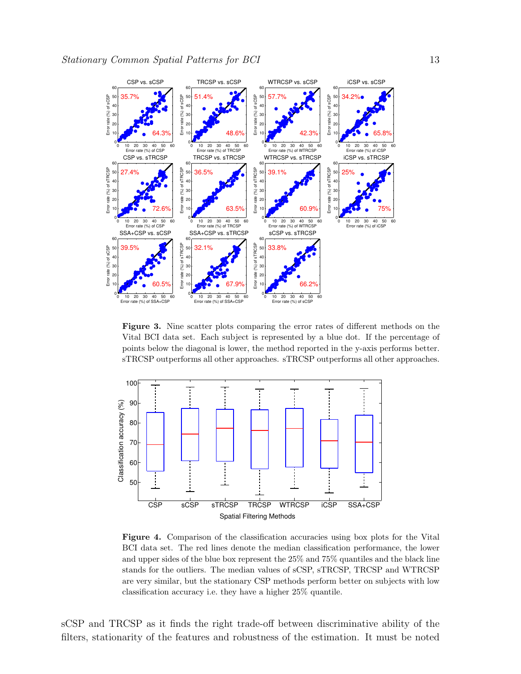

Figure 3. Nine scatter plots comparing the error rates of different methods on the Vital BCI data set. Each subject is represented by a blue dot. If the percentage of points below the diagonal is lower, the method reported in the y-axis performs better. sTRCSP outperforms all other approaches. sTRCSP outperforms all other approaches.



Figure 4. Comparison of the classification accuracies using box plots for the Vital BCI data set. The red lines denote the median classification performance, the lower and upper sides of the blue box represent the 25% and 75% quantiles and the black line stands for the outliers. The median values of sCSP, sTRCSP, TRCSP and WTRCSP are very similar, but the stationary CSP methods perform better on subjects with low classification accuracy i.e. they have a higher 25% quantile.

sCSP and TRCSP as it finds the right trade-off between discriminative ability of the filters, stationarity of the features and robustness of the estimation. It must be noted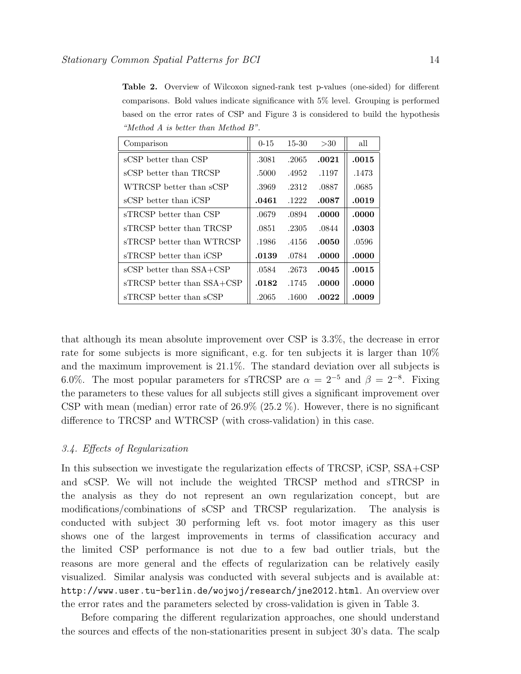Table 2. Overview of Wilcoxon signed-rank test p-values (one-sided) for different comparisons. Bold values indicate significance with 5% level. Grouping is performed based on the error rates of CSP and Figure 3 is considered to build the hypothesis "Method A is better than Method B".

| Comparison                 | $0 - 15$ | $15 - 30$ | >30   | all   |
|----------------------------|----------|-----------|-------|-------|
| sCSP better than CSP       | .3081    | .2065     | .0021 | .0015 |
| sCSP better than TRCSP     | .5000    | .4952     | .1197 | .1473 |
| WTRCSP better than sCSP    | .3969    | .2312     | .0887 | .0685 |
| sCSP better than iCSP      | .0461    | .1222     | .0087 | .0019 |
| sTRCSP better than CSP     | .0679    | .0894     | .0000 | .0000 |
| sTRCSP better than TRCSP   | .0851    | .2305     | .0844 | .0303 |
| sTRCSP better than WTRCSP  | .1986    | .4156     | .0050 | .0596 |
| sTRCSP better than iCSP    | .0139    | .0784     | .0000 | .0000 |
| sCSP better than SSA+CSP   | .0584    | .2673     | .0045 | .0015 |
| sTRCSP better than SSA+CSP | .0182    | .1745     | .0000 | .0000 |
| sTRCSP better than sCSP    | .2065    | .1600     | .0022 | .0009 |

that although its mean absolute improvement over CSP is 3.3%, the decrease in error rate for some subjects is more significant, e.g. for ten subjects it is larger than 10% and the maximum improvement is 21.1%. The standard deviation over all subjects is 6.0%. The most popular parameters for sTRCSP are  $\alpha = 2^{-5}$  and  $\beta = 2^{-8}$ . Fixing the parameters to these values for all subjects still gives a significant improvement over CSP with mean (median) error rate of  $26.9\%$  ( $25.2\%$ ). However, there is no significant difference to TRCSP and WTRCSP (with cross-validation) in this case.

#### 3.4. Effects of Regularization

In this subsection we investigate the regularization effects of TRCSP, iCSP, SSA+CSP and sCSP. We will not include the weighted TRCSP method and sTRCSP in the analysis as they do not represent an own regularization concept, but are modifications/combinations of sCSP and TRCSP regularization. The analysis is conducted with subject 30 performing left vs. foot motor imagery as this user shows one of the largest improvements in terms of classification accuracy and the limited CSP performance is not due to a few bad outlier trials, but the reasons are more general and the effects of regularization can be relatively easily visualized. Similar analysis was conducted with several subjects and is available at: http://www.user.tu-berlin.de/wojwoj/research/jne2012.html. An overview over the error rates and the parameters selected by cross-validation is given in Table 3.

Before comparing the different regularization approaches, one should understand the sources and effects of the non-stationarities present in subject 30's data. The scalp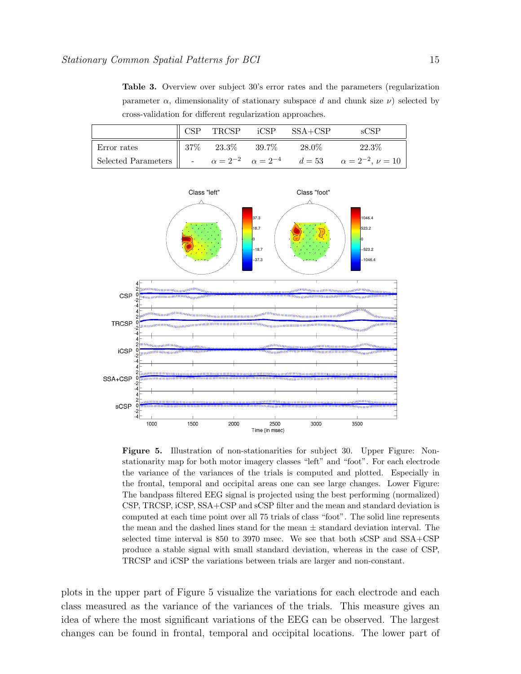Table 3. Overview over subject 30's error rates and the parameters (regularization parameter  $\alpha$ , dimensionality of stationary subspace d and chunk size  $\nu$ ) selected by cross-validation for different regularization approaches.

|                          |      | TRCSP | iCSP     | $SSA + CSP$ |                                                                          |
|--------------------------|------|-------|----------|-------------|--------------------------------------------------------------------------|
| Error rates              | 37\% | 23.3% | $39.7\%$ | 28.0%       | $22.3\%$                                                                 |
| Selected Parameters    - |      |       |          |             | $\alpha = 2^{-2}$ $\alpha = 2^{-4}$ $d = 53$ $\alpha = 2^{-2}, \nu = 10$ |



Figure 5. Illustration of non-stationarities for subject 30. Upper Figure: Nonstationarity map for both motor imagery classes "left" and "foot". For each electrode the variance of the variances of the trials is computed and plotted. Especially in the frontal, temporal and occipital areas one can see large changes. Lower Figure: The bandpass filtered EEG signal is projected using the best performing (normalized) CSP, TRCSP, iCSP, SSA+CSP and sCSP filter and the mean and standard deviation is computed at each time point over all 75 trials of class "foot". The solid line represents the mean and the dashed lines stand for the mean  $\pm$  standard deviation interval. The selected time interval is 850 to 3970 msec. We see that both sCSP and SSA+CSP produce a stable signal with small standard deviation, whereas in the case of CSP, TRCSP and iCSP the variations between trials are larger and non-constant.

plots in the upper part of Figure 5 visualize the variations for each electrode and each class measured as the variance of the variances of the trials. This measure gives an idea of where the most significant variations of the EEG can be observed. The largest changes can be found in frontal, temporal and occipital locations. The lower part of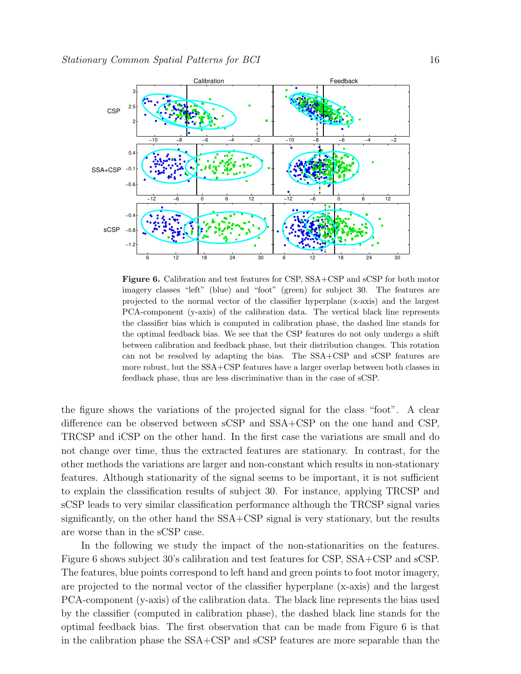

Figure 6. Calibration and test features for CSP, SSA+CSP and sCSP for both motor imagery classes "left" (blue) and "foot" (green) for subject 30. The features are projected to the normal vector of the classifier hyperplane (x-axis) and the largest PCA-component (y-axis) of the calibration data. The vertical black line represents the classifier bias which is computed in calibration phase, the dashed line stands for the optimal feedback bias. We see that the CSP features do not only undergo a shift between calibration and feedback phase, but their distribution changes. This rotation can not be resolved by adapting the bias. The SSA+CSP and sCSP features are more robust, but the SSA+CSP features have a larger overlap between both classes in feedback phase, thus are less discriminative than in the case of sCSP.

the figure shows the variations of the projected signal for the class "foot". A clear difference can be observed between sCSP and SSA+CSP on the one hand and CSP, TRCSP and iCSP on the other hand. In the first case the variations are small and do not change over time, thus the extracted features are stationary. In contrast, for the other methods the variations are larger and non-constant which results in non-stationary features. Although stationarity of the signal seems to be important, it is not sufficient to explain the classification results of subject 30. For instance, applying TRCSP and sCSP leads to very similar classification performance although the TRCSP signal varies significantly, on the other hand the SSA+CSP signal is very stationary, but the results are worse than in the sCSP case.

In the following we study the impact of the non-stationarities on the features. Figure 6 shows subject 30's calibration and test features for CSP, SSA+CSP and sCSP. The features, blue points correspond to left hand and green points to foot motor imagery, are projected to the normal vector of the classifier hyperplane (x-axis) and the largest PCA-component (y-axis) of the calibration data. The black line represents the bias used by the classifier (computed in calibration phase), the dashed black line stands for the optimal feedback bias. The first observation that can be made from Figure 6 is that in the calibration phase the SSA+CSP and sCSP features are more separable than the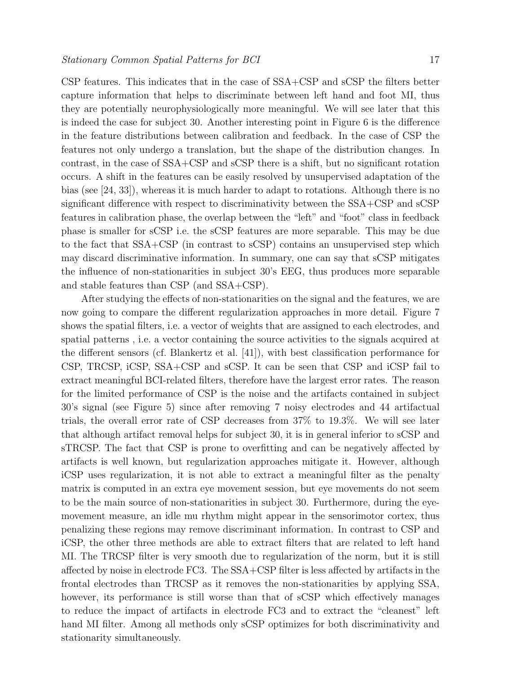CSP features. This indicates that in the case of SSA+CSP and sCSP the filters better capture information that helps to discriminate between left hand and foot MI, thus they are potentially neurophysiologically more meaningful. We will see later that this is indeed the case for subject 30. Another interesting point in Figure 6 is the difference in the feature distributions between calibration and feedback. In the case of CSP the features not only undergo a translation, but the shape of the distribution changes. In contrast, in the case of SSA+CSP and sCSP there is a shift, but no significant rotation occurs. A shift in the features can be easily resolved by unsupervised adaptation of the bias (see [24, 33]), whereas it is much harder to adapt to rotations. Although there is no significant difference with respect to discriminativity between the SSA+CSP and sCSP features in calibration phase, the overlap between the "left" and "foot" class in feedback phase is smaller for sCSP i.e. the sCSP features are more separable. This may be due to the fact that SSA+CSP (in contrast to sCSP) contains an unsupervised step which may discard discriminative information. In summary, one can say that sCSP mitigates the influence of non-stationarities in subject 30's EEG, thus produces more separable and stable features than CSP (and SSA+CSP).

After studying the effects of non-stationarities on the signal and the features, we are now going to compare the different regularization approaches in more detail. Figure 7 shows the spatial filters, i.e. a vector of weights that are assigned to each electrodes, and spatial patterns , i.e. a vector containing the source activities to the signals acquired at the different sensors (cf. Blankertz et al. [41]), with best classification performance for CSP, TRCSP, iCSP, SSA+CSP and sCSP. It can be seen that CSP and iCSP fail to extract meaningful BCI-related filters, therefore have the largest error rates. The reason for the limited performance of CSP is the noise and the artifacts contained in subject 30's signal (see Figure 5) since after removing 7 noisy electrodes and 44 artifactual trials, the overall error rate of CSP decreases from 37% to 19.3%. We will see later that although artifact removal helps for subject 30, it is in general inferior to sCSP and sTRCSP. The fact that CSP is prone to overfitting and can be negatively affected by artifacts is well known, but regularization approaches mitigate it. However, although iCSP uses regularization, it is not able to extract a meaningful filter as the penalty matrix is computed in an extra eye movement session, but eye movements do not seem to be the main source of non-stationarities in subject 30. Furthermore, during the eyemovement measure, an idle mu rhythm might appear in the sensorimotor cortex, thus penalizing these regions may remove discriminant information. In contrast to CSP and iCSP, the other three methods are able to extract filters that are related to left hand MI. The TRCSP filter is very smooth due to regularization of the norm, but it is still affected by noise in electrode FC3. The SSA+CSP filter is less affected by artifacts in the frontal electrodes than TRCSP as it removes the non-stationarities by applying SSA, however, its performance is still worse than that of sCSP which effectively manages to reduce the impact of artifacts in electrode FC3 and to extract the "cleanest" left hand MI filter. Among all methods only sCSP optimizes for both discriminativity and stationarity simultaneously.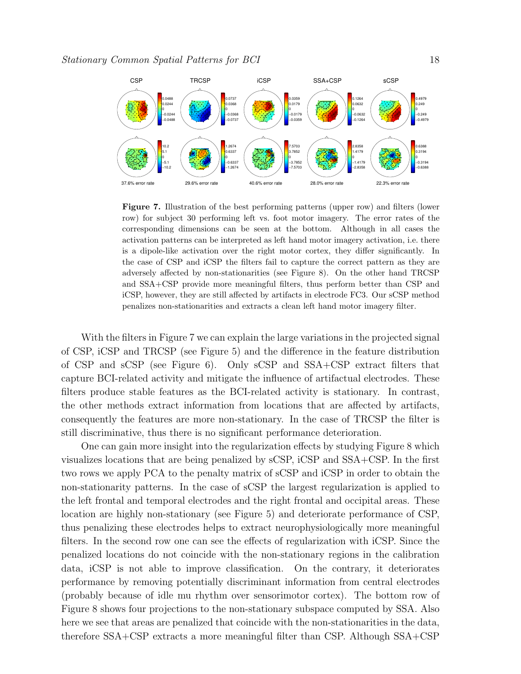

Figure 7. Illustration of the best performing patterns (upper row) and filters (lower row) for subject 30 performing left vs. foot motor imagery. The error rates of the corresponding dimensions can be seen at the bottom. Although in all cases the activation patterns can be interpreted as left hand motor imagery activation, i.e. there is a dipole-like activation over the right motor cortex, they differ significantly. In the case of CSP and iCSP the filters fail to capture the correct pattern as they are adversely affected by non-stationarities (see Figure 8). On the other hand TRCSP and SSA+CSP provide more meaningful filters, thus perform better than CSP and iCSP, however, they are still affected by artifacts in electrode FC3. Our sCSP method penalizes non-stationarities and extracts a clean left hand motor imagery filter.

With the filters in Figure 7 we can explain the large variations in the projected signal of CSP, iCSP and TRCSP (see Figure 5) and the difference in the feature distribution of CSP and sCSP (see Figure 6). Only sCSP and SSA+CSP extract filters that capture BCI-related activity and mitigate the influence of artifactual electrodes. These filters produce stable features as the BCI-related activity is stationary. In contrast, the other methods extract information from locations that are affected by artifacts, consequently the features are more non-stationary. In the case of TRCSP the filter is still discriminative, thus there is no significant performance deterioration.

One can gain more insight into the regularization effects by studying Figure 8 which visualizes locations that are being penalized by sCSP, iCSP and SSA+CSP. In the first two rows we apply PCA to the penalty matrix of sCSP and iCSP in order to obtain the non-stationarity patterns. In the case of sCSP the largest regularization is applied to the left frontal and temporal electrodes and the right frontal and occipital areas. These location are highly non-stationary (see Figure 5) and deteriorate performance of CSP, thus penalizing these electrodes helps to extract neurophysiologically more meaningful filters. In the second row one can see the effects of regularization with iCSP. Since the penalized locations do not coincide with the non-stationary regions in the calibration data, iCSP is not able to improve classification. On the contrary, it deteriorates performance by removing potentially discriminant information from central electrodes (probably because of idle mu rhythm over sensorimotor cortex). The bottom row of Figure 8 shows four projections to the non-stationary subspace computed by SSA. Also here we see that areas are penalized that coincide with the non-stationarities in the data, therefore SSA+CSP extracts a more meaningful filter than CSP. Although SSA+CSP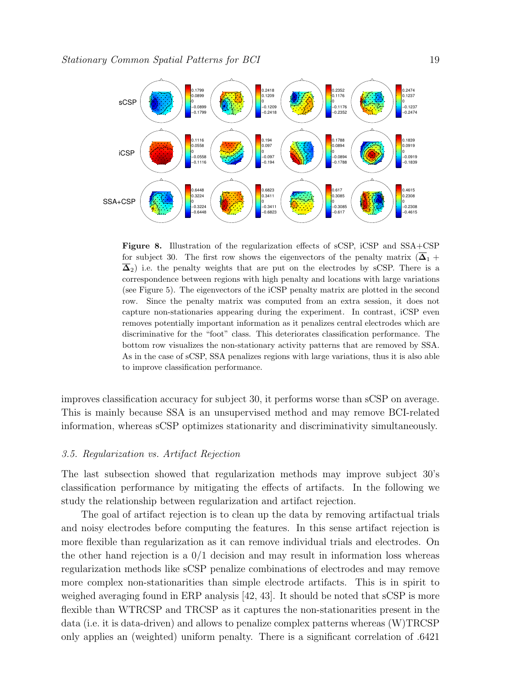

Figure 8. Illustration of the regularization effects of sCSP, iCSP and SSA+CSP for subject 30. The first row shows the eigenvectors of the penalty matrix  $(\overline{\Delta}_1 +$  $\overline{\Delta}_2$ ) i.e. the penalty weights that are put on the electrodes by sCSP. There is a correspondence between regions with high penalty and locations with large variations (see Figure 5). The eigenvectors of the iCSP penalty matrix are plotted in the second row. Since the penalty matrix was computed from an extra session, it does not capture non-stationaries appearing during the experiment. In contrast, iCSP even removes potentially important information as it penalizes central electrodes which are discriminative for the "foot" class. This deteriorates classification performance. The bottom row visualizes the non-stationary activity patterns that are removed by SSA. As in the case of sCSP, SSA penalizes regions with large variations, thus it is also able to improve classification performance.

improves classification accuracy for subject 30, it performs worse than sCSP on average. This is mainly because SSA is an unsupervised method and may remove BCI-related information, whereas sCSP optimizes stationarity and discriminativity simultaneously.

#### 3.5. Regularization vs. Artifact Rejection

The last subsection showed that regularization methods may improve subject 30's classification performance by mitigating the effects of artifacts. In the following we study the relationship between regularization and artifact rejection.

The goal of artifact rejection is to clean up the data by removing artifactual trials and noisy electrodes before computing the features. In this sense artifact rejection is more flexible than regularization as it can remove individual trials and electrodes. On the other hand rejection is a  $0/1$  decision and may result in information loss whereas regularization methods like sCSP penalize combinations of electrodes and may remove more complex non-stationarities than simple electrode artifacts. This is in spirit to weighed averaging found in ERP analysis [42, 43]. It should be noted that sCSP is more flexible than WTRCSP and TRCSP as it captures the non-stationarities present in the data (i.e. it is data-driven) and allows to penalize complex patterns whereas (W)TRCSP only applies an (weighted) uniform penalty. There is a significant correlation of .6421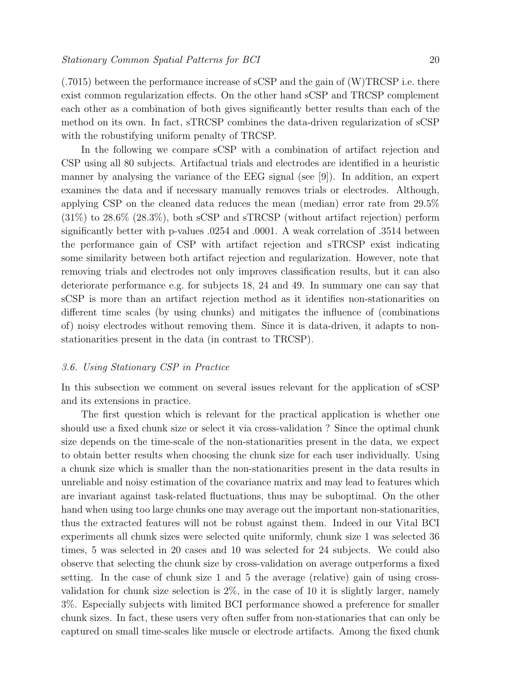(.7015) between the performance increase of sCSP and the gain of (W)TRCSP i.e. there exist common regularization effects. On the other hand sCSP and TRCSP complement each other as a combination of both gives significantly better results than each of the method on its own. In fact, sTRCSP combines the data-driven regularization of sCSP with the robustifying uniform penalty of TRCSP.

In the following we compare sCSP with a combination of artifact rejection and CSP using all 80 subjects. Artifactual trials and electrodes are identified in a heuristic manner by analysing the variance of the EEG signal (see [9]). In addition, an expert examines the data and if necessary manually removes trials or electrodes. Although, applying CSP on the cleaned data reduces the mean (median) error rate from 29.5%  $(31\%)$  to  $28.6\%$   $(28.3\%)$ , both sCSP and sTRCSP (without artifact rejection) perform significantly better with p-values .0254 and .0001. A weak correlation of .3514 between the performance gain of CSP with artifact rejection and sTRCSP exist indicating some similarity between both artifact rejection and regularization. However, note that removing trials and electrodes not only improves classification results, but it can also deteriorate performance e.g. for subjects 18, 24 and 49. In summary one can say that sCSP is more than an artifact rejection method as it identifies non-stationarities on different time scales (by using chunks) and mitigates the influence of (combinations of) noisy electrodes without removing them. Since it is data-driven, it adapts to nonstationarities present in the data (in contrast to TRCSP).

#### 3.6. Using Stationary CSP in Practice

In this subsection we comment on several issues relevant for the application of sCSP and its extensions in practice.

The first question which is relevant for the practical application is whether one should use a fixed chunk size or select it via cross-validation ? Since the optimal chunk size depends on the time-scale of the non-stationarities present in the data, we expect to obtain better results when choosing the chunk size for each user individually. Using a chunk size which is smaller than the non-stationarities present in the data results in unreliable and noisy estimation of the covariance matrix and may lead to features which are invariant against task-related fluctuations, thus may be suboptimal. On the other hand when using too large chunks one may average out the important non-stationarities, thus the extracted features will not be robust against them. Indeed in our Vital BCI experiments all chunk sizes were selected quite uniformly, chunk size 1 was selected 36 times, 5 was selected in 20 cases and 10 was selected for 24 subjects. We could also observe that selecting the chunk size by cross-validation on average outperforms a fixed setting. In the case of chunk size 1 and 5 the average (relative) gain of using crossvalidation for chunk size selection is 2%, in the case of 10 it is slightly larger, namely 3%. Especially subjects with limited BCI performance showed a preference for smaller chunk sizes. In fact, these users very often suffer from non-stationaries that can only be captured on small time-scales like muscle or electrode artifacts. Among the fixed chunk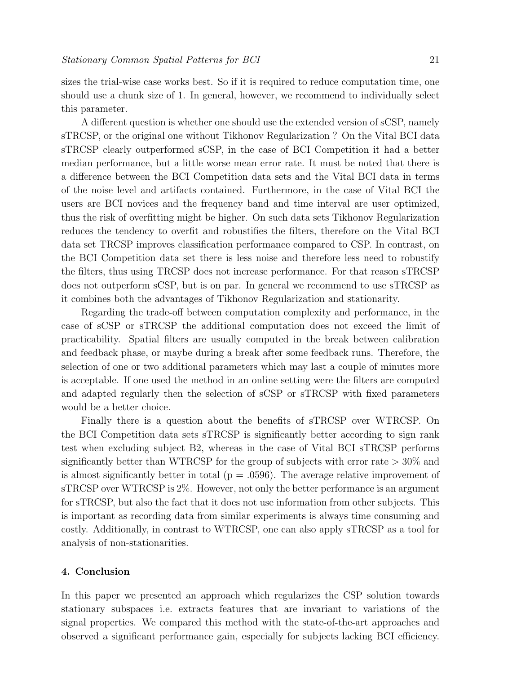sizes the trial-wise case works best. So if it is required to reduce computation time, one should use a chunk size of 1. In general, however, we recommend to individually select this parameter.

A different question is whether one should use the extended version of sCSP, namely sTRCSP, or the original one without Tikhonov Regularization ? On the Vital BCI data sTRCSP clearly outperformed sCSP, in the case of BCI Competition it had a better median performance, but a little worse mean error rate. It must be noted that there is a difference between the BCI Competition data sets and the Vital BCI data in terms of the noise level and artifacts contained. Furthermore, in the case of Vital BCI the users are BCI novices and the frequency band and time interval are user optimized, thus the risk of overfitting might be higher. On such data sets Tikhonov Regularization reduces the tendency to overfit and robustifies the filters, therefore on the Vital BCI data set TRCSP improves classification performance compared to CSP. In contrast, on the BCI Competition data set there is less noise and therefore less need to robustify the filters, thus using TRCSP does not increase performance. For that reason sTRCSP does not outperform sCSP, but is on par. In general we recommend to use sTRCSP as it combines both the advantages of Tikhonov Regularization and stationarity.

Regarding the trade-off between computation complexity and performance, in the case of sCSP or sTRCSP the additional computation does not exceed the limit of practicability. Spatial filters are usually computed in the break between calibration and feedback phase, or maybe during a break after some feedback runs. Therefore, the selection of one or two additional parameters which may last a couple of minutes more is acceptable. If one used the method in an online setting were the filters are computed and adapted regularly then the selection of sCSP or sTRCSP with fixed parameters would be a better choice.

Finally there is a question about the benefits of sTRCSP over WTRCSP. On the BCI Competition data sets sTRCSP is significantly better according to sign rank test when excluding subject B2, whereas in the case of Vital BCI sTRCSP performs significantly better than WTRCSP for the group of subjects with error rate  $>30\%$  and is almost significantly better in total ( $p = .0596$ ). The average relative improvement of sTRCSP over WTRCSP is 2%. However, not only the better performance is an argument for sTRCSP, but also the fact that it does not use information from other subjects. This is important as recording data from similar experiments is always time consuming and costly. Additionally, in contrast to WTRCSP, one can also apply sTRCSP as a tool for analysis of non-stationarities.

#### 4. Conclusion

In this paper we presented an approach which regularizes the CSP solution towards stationary subspaces i.e. extracts features that are invariant to variations of the signal properties. We compared this method with the state-of-the-art approaches and observed a significant performance gain, especially for subjects lacking BCI efficiency.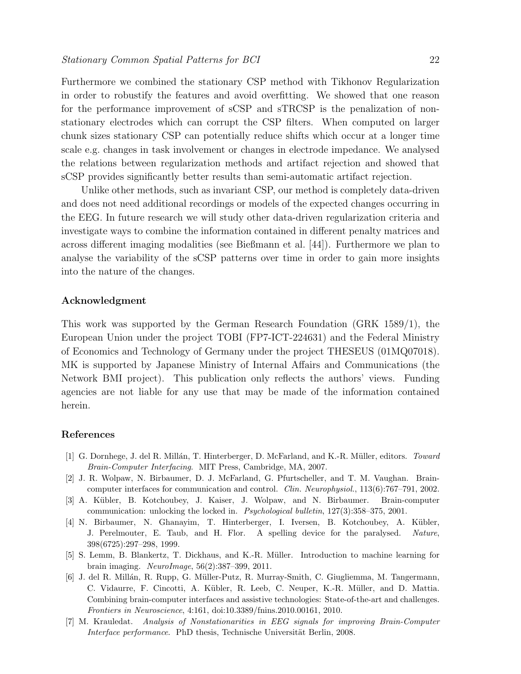Furthermore we combined the stationary CSP method with Tikhonov Regularization in order to robustify the features and avoid overfitting. We showed that one reason for the performance improvement of sCSP and sTRCSP is the penalization of nonstationary electrodes which can corrupt the CSP filters. When computed on larger chunk sizes stationary CSP can potentially reduce shifts which occur at a longer time scale e.g. changes in task involvement or changes in electrode impedance. We analysed the relations between regularization methods and artifact rejection and showed that sCSP provides significantly better results than semi-automatic artifact rejection.

Unlike other methods, such as invariant CSP, our method is completely data-driven and does not need additional recordings or models of the expected changes occurring in the EEG. In future research we will study other data-driven regularization criteria and investigate ways to combine the information contained in different penalty matrices and across different imaging modalities (see Bießmann et al. [44]). Furthermore we plan to analyse the variability of the sCSP patterns over time in order to gain more insights into the nature of the changes.

#### Acknowledgment

This work was supported by the German Research Foundation (GRK 1589/1), the European Union under the project TOBI (FP7-ICT-224631) and the Federal Ministry of Economics and Technology of Germany under the project THESEUS (01MQ07018). MK is supported by Japanese Ministry of Internal Affairs and Communications (the Network BMI project). This publication only reflects the authors' views. Funding agencies are not liable for any use that may be made of the information contained herein.

### References

- [1] G. Dornhege, J. del R. Millán, T. Hinterberger, D. McFarland, and K.-R. Müller, editors. Toward Brain-Computer Interfacing. MIT Press, Cambridge, MA, 2007.
- [2] J. R. Wolpaw, N. Birbaumer, D. J. McFarland, G. Pfurtscheller, and T. M. Vaughan. Braincomputer interfaces for communication and control. Clin. Neurophysiol., 113(6):767–791, 2002.
- [3] A. Kübler, B. Kotchoubey, J. Kaiser, J. Wolpaw, and N. Birbaumer. Brain-computer communication: unlocking the locked in. Psychological bulletin, 127(3):358–375, 2001.
- [4] N. Birbaumer, N. Ghanayim, T. Hinterberger, I. Iversen, B. Kotchoubey, A. K¨ubler, J. Perelmouter, E. Taub, and H. Flor. A spelling device for the paralysed. Nature, 398(6725):297–298, 1999.
- [5] S. Lemm, B. Blankertz, T. Dickhaus, and K.-R. M¨uller. Introduction to machine learning for brain imaging. NeuroImage, 56(2):387–399, 2011.
- [6] J. del R. Mill´an, R. Rupp, G. M¨uller-Putz, R. Murray-Smith, C. Giugliemma, M. Tangermann, C. Vidaurre, F. Cincotti, A. Kübler, R. Leeb, C. Neuper, K.-R. Müller, and D. Mattia. Combining brain-computer interfaces and assistive technologies: State-of-the-art and challenges. Frontiers in Neuroscience, 4:161, doi:10.3389/fnins.2010.00161, 2010.
- [7] M. Krauledat. Analysis of Nonstationarities in EEG signals for improving Brain-Computer Interface performance. PhD thesis, Technische Universität Berlin, 2008.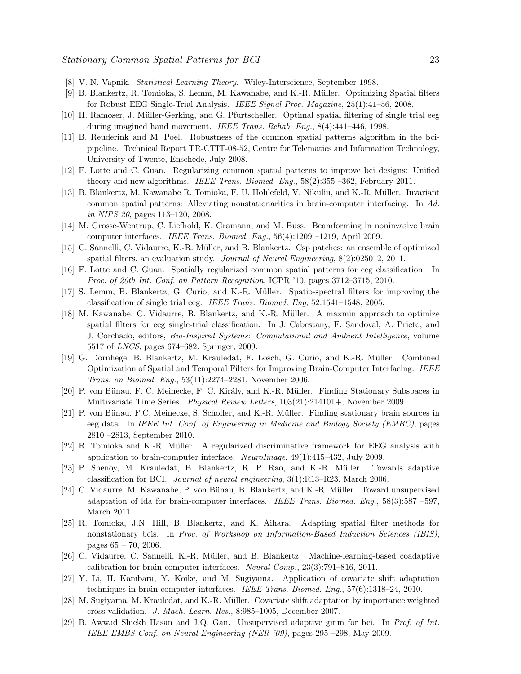- [8] V. N. Vapnik. Statistical Learning Theory. Wiley-Interscience, September 1998.
- [9] B. Blankertz, R. Tomioka, S. Lemm, M. Kawanabe, and K.-R. M¨uller. Optimizing Spatial filters for Robust EEG Single-Trial Analysis. IEEE Signal Proc. Magazine, 25(1):41–56, 2008.
- [10] H. Ramoser, J. M¨uller-Gerking, and G. Pfurtscheller. Optimal spatial filtering of single trial eeg during imagined hand movement. *IEEE Trans. Rehab. Eng.*, 8(4):441–446, 1998.
- [11] B. Reuderink and M. Poel. Robustness of the common spatial patterns algorithm in the bcipipeline. Technical Report TR-CTIT-08-52, Centre for Telematics and Information Technology, University of Twente, Enschede, July 2008.
- [12] F. Lotte and C. Guan. Regularizing common spatial patterns to improve bci designs: Unified theory and new algorithms. IEEE Trans. Biomed. Eng., 58(2):355 –362, February 2011.
- [13] B. Blankertz, M. Kawanabe R. Tomioka, F. U. Hohlefeld, V. Nikulin, and K.-R. M¨uller. Invariant common spatial patterns: Alleviating nonstationarities in brain-computer interfacing. In Ad. in NIPS 20, pages 113–120, 2008.
- [14] M. Grosse-Wentrup, C. Liefhold, K. Gramann, and M. Buss. Beamforming in noninvasive brain computer interfaces. IEEE Trans. Biomed. Eng.,  $56(4):1209 - 1219$ , April 2009.
- [15] C. Sannelli, C. Vidaurre, K.-R. Müller, and B. Blankertz. Csp patches: an ensemble of optimized spatial filters. an evaluation study. Journal of Neural Engineering, 8(2):025012, 2011.
- [16] F. Lotte and C. Guan. Spatially regularized common spatial patterns for eeg classification. In Proc. of 20th Int. Conf. on Pattern Recognition, ICPR '10, pages 3712–3715, 2010.
- [17] S. Lemm, B. Blankertz, G. Curio, and K.-R. Müller. Spatio-spectral filters for improving the classification of single trial eeg. IEEE Trans. Biomed. Eng, 52:1541–1548, 2005.
- [18] M. Kawanabe, C. Vidaurre, B. Blankertz, and K.-R. Müller. A maxmin approach to optimize spatial filters for eeg single-trial classification. In J. Cabestany, F. Sandoval, A. Prieto, and J. Corchado, editors, Bio-Inspired Systems: Computational and Ambient Intelligence, volume 5517 of LNCS, pages 674–682. Springer, 2009.
- [19] G. Dornhege, B. Blankertz, M. Krauledat, F. Losch, G. Curio, and K.-R. M¨uller. Combined Optimization of Spatial and Temporal Filters for Improving Brain-Computer Interfacing. IEEE Trans. on Biomed. Eng., 53(11):2274–2281, November 2006.
- [20] P. von Bünau, F. C. Meinecke, F. C. Király, and K.-R. Müller. Finding Stationary Subspaces in Multivariate Time Series. Physical Review Letters, 103(21):214101+, November 2009.
- [21] P. von Bünau, F.C. Meinecke, S. Scholler, and K.-R. Müller. Finding stationary brain sources in eeg data. In IEEE Int. Conf. of Engineering in Medicine and Biology Society (EMBC), pages 2810 –2813, September 2010.
- [22] R. Tomioka and K.-R. Müller. A regularized discriminative framework for EEG analysis with application to brain-computer interface. NeuroImage,  $49(1):415-432$ , July 2009.
- [23] P. Shenoy, M. Krauledat, B. Blankertz, R. P. Rao, and K.-R. Müller. Towards adaptive classification for BCI. Journal of neural engineering, 3(1):R13–R23, March 2006.
- [24] C. Vidaurre, M. Kawanabe, P. von Bünau, B. Blankertz, and K.-R. Müller. Toward unsupervised adaptation of lda for brain-computer interfaces. IEEE Trans. Biomed. Eng., 58(3):587 –597, March 2011.
- [25] R. Tomioka, J.N. Hill, B. Blankertz, and K. Aihara. Adapting spatial filter methods for nonstationary bcis. In Proc. of Workshop on Information-Based Induction Sciences (IBIS), pages 65 – 70, 2006.
- [26] C. Vidaurre, C. Sannelli, K.-R. Müller, and B. Blankertz. Machine-learning-based coadaptive calibration for brain-computer interfaces. Neural Comp., 23(3):791–816, 2011.
- [27] Y. Li, H. Kambara, Y. Koike, and M. Sugiyama. Application of covariate shift adaptation techniques in brain-computer interfaces. IEEE Trans. Biomed. Eng., 57(6):1318–24, 2010.
- [28] M. Sugiyama, M. Krauledat, and K.-R. Müller. Covariate shift adaptation by importance weighted cross validation. J. Mach. Learn. Res., 8:985–1005, December 2007.
- [29] B. Awwad Shiekh Hasan and J.Q. Gan. Unsupervised adaptive gmm for bci. In Prof. of Int. IEEE EMBS Conf. on Neural Engineering (NER '09), pages 295 –298, May 2009.